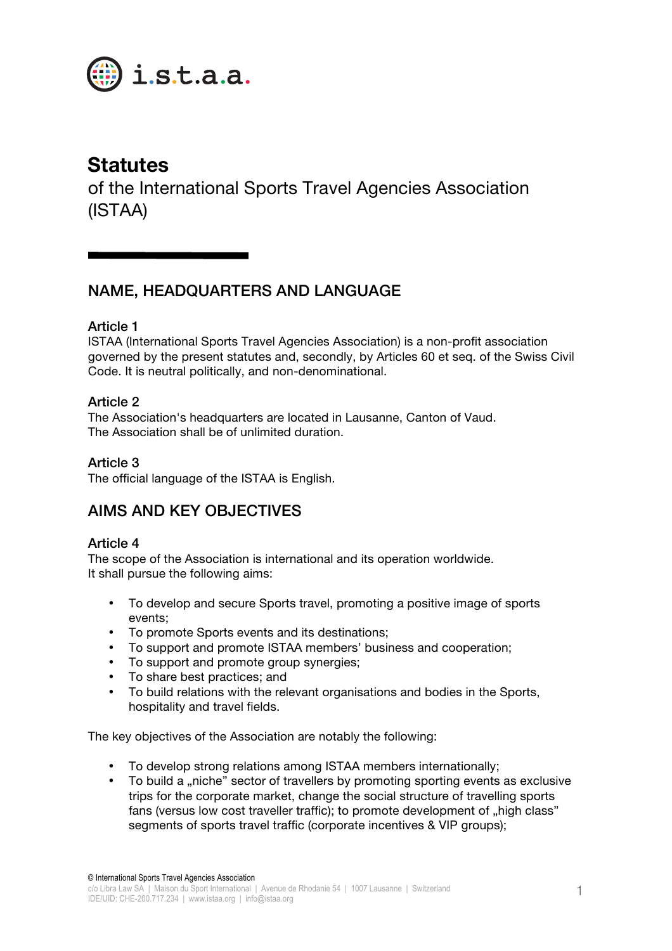

# **Statutes**

of the International Sports Travel Agencies Association (ISTAA)

## NAME, HEADQUARTERS AND LANGUAGE

### Article 1

ISTAA (International Sports Travel Agencies Association) is a non-profit association governed by the present statutes and, secondly, by Articles 60 et seq. of the Swiss Civil Code. It is neutral politically, and non-denominational.

### Article 2

The Association's headquarters are located in Lausanne, Canton of Vaud. The Association shall be of unlimited duration.

### Article 3

The official language of the ISTAA is English.

## AIMS AND KEY OBJECTIVES

### Article 4

The scope of the Association is international and its operation worldwide. It shall pursue the following aims:

- To develop and secure Sports travel, promoting a positive image of sports events;
- To promote Sports events and its destinations;
- To support and promote ISTAA members' business and cooperation;
- To support and promote group synergies;
- To share best practices; and
- To build relations with the relevant organisations and bodies in the Sports, hospitality and travel fields.

The key objectives of the Association are notably the following:

- To develop strong relations among ISTAA members internationally;
- To build a "niche" sector of travellers by promoting sporting events as exclusive trips for the corporate market, change the social structure of travelling sports fans (versus low cost traveller traffic); to promote development of ... high class" segments of sports travel traffic (corporate incentives & VIP groups);

© International Sports Travel Agencies Association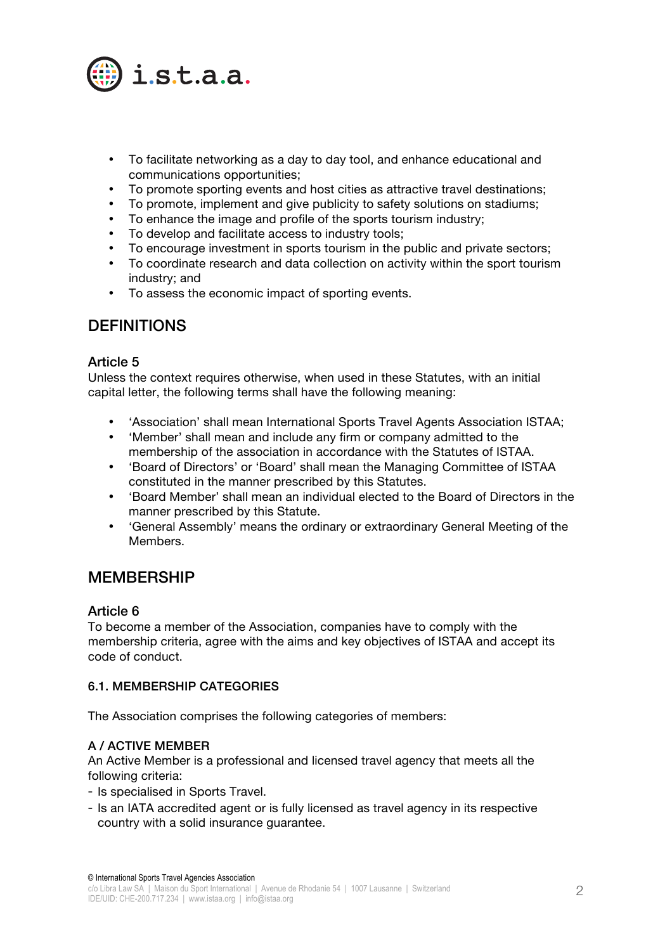

- To facilitate networking as a day to day tool, and enhance educational and communications opportunities;
- To promote sporting events and host cities as attractive travel destinations;
- To promote, implement and give publicity to safety solutions on stadiums;
- To enhance the image and profile of the sports tourism industry;
- To develop and facilitate access to industry tools;
- To encourage investment in sports tourism in the public and private sectors;
- To coordinate research and data collection on activity within the sport tourism industry; and
- To assess the economic impact of sporting events.

## **DEFINITIONS**

#### Article 5

Unless the context requires otherwise, when used in these Statutes, with an initial capital letter, the following terms shall have the following meaning:

- 'Association' shall mean International Sports Travel Agents Association ISTAA;
- 'Member' shall mean and include any firm or company admitted to the membership of the association in accordance with the Statutes of ISTAA.
- 'Board of Directors' or 'Board' shall mean the Managing Committee of ISTAA constituted in the manner prescribed by this Statutes.
- 'Board Member' shall mean an individual elected to the Board of Directors in the manner prescribed by this Statute.
- 'General Assembly' means the ordinary or extraordinary General Meeting of the Members.

## **MEMBERSHIP**

#### Article 6

To become a member of the Association, companies have to comply with the membership criteria, agree with the aims and key objectives of ISTAA and accept its code of conduct.

#### 6.1. MEMBERSHIP CATEGORIES

The Association comprises the following categories of members:

#### A / ACTIVE MEMBER

An Active Member is a professional and licensed travel agency that meets all the following criteria:

- Is specialised in Sports Travel.
- Is an IATA accredited agent or is fully licensed as travel agency in its respective country with a solid insurance guarantee.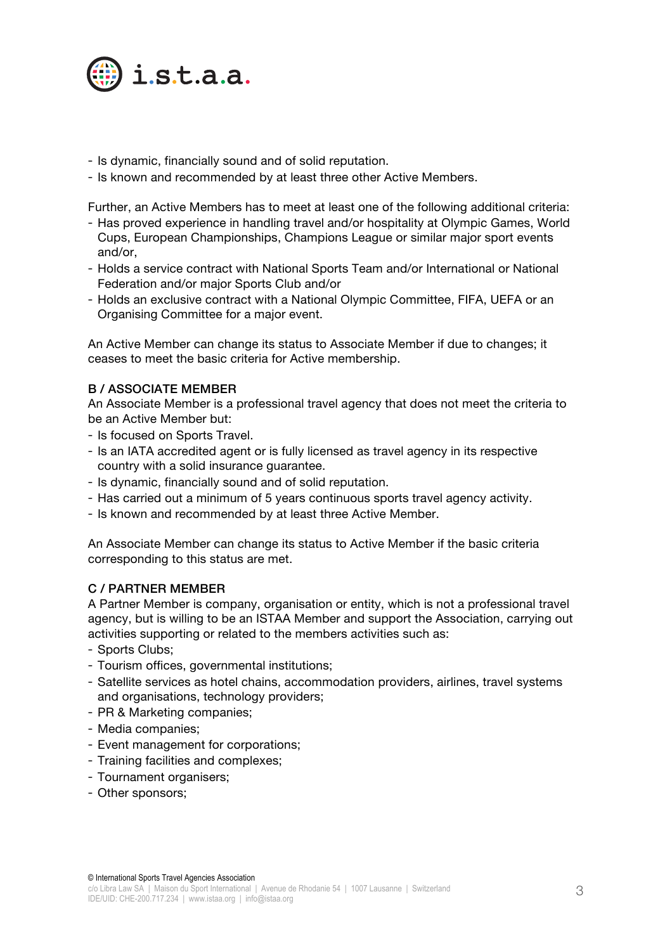

- Is dynamic, financially sound and of solid reputation.
- Is known and recommended by at least three other Active Members.

Further, an Active Members has to meet at least one of the following additional criteria:

- Has proved experience in handling travel and/or hospitality at Olympic Games, World Cups, European Championships, Champions League or similar major sport events and/or,
- Holds a service contract with National Sports Team and/or International or National Federation and/or major Sports Club and/or
- Holds an exclusive contract with a National Olympic Committee, FIFA, UEFA or an Organising Committee for a major event.

An Active Member can change its status to Associate Member if due to changes; it ceases to meet the basic criteria for Active membership.

#### B / ASSOCIATE MEMBER

An Associate Member is a professional travel agency that does not meet the criteria to be an Active Member but:

- Is focused on Sports Travel.
- Is an IATA accredited agent or is fully licensed as travel agency in its respective country with a solid insurance guarantee.
- Is dynamic, financially sound and of solid reputation.
- Has carried out a minimum of 5 years continuous sports travel agency activity.
- Is known and recommended by at least three Active Member.

An Associate Member can change its status to Active Member if the basic criteria corresponding to this status are met.

#### C / PARTNER MEMBER

A Partner Member is company, organisation or entity, which is not a professional travel agency, but is willing to be an ISTAA Member and support the Association, carrying out activities supporting or related to the members activities such as:

- Sports Clubs;
- Tourism offices, governmental institutions;
- Satellite services as hotel chains, accommodation providers, airlines, travel systems and organisations, technology providers;
- PR & Marketing companies;
- Media companies;
- Event management for corporations;
- Training facilities and complexes;
- Tournament organisers;
- Other sponsors;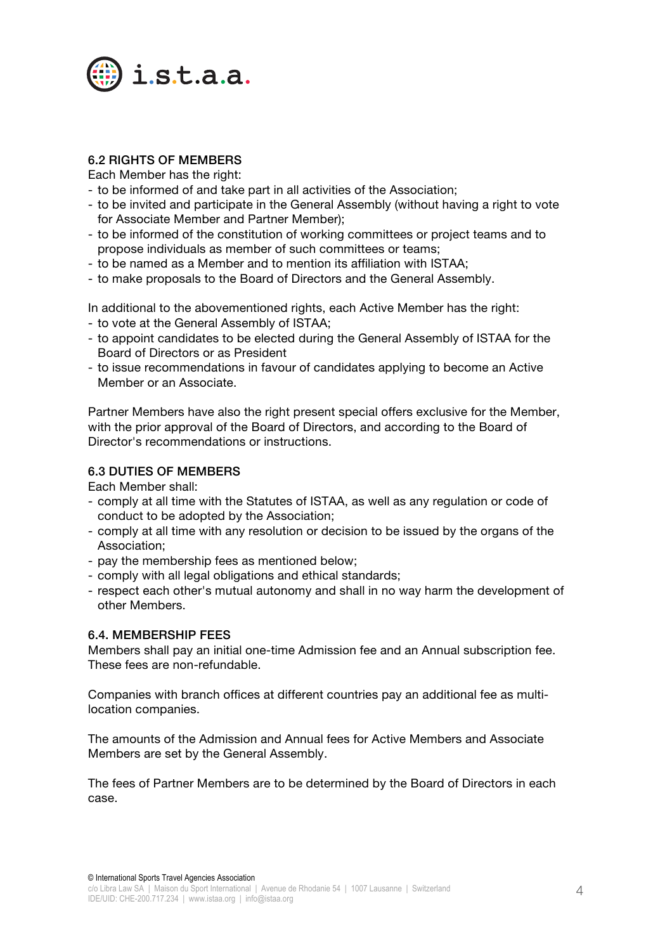

### 6.2 RIGHTS OF MEMBERS

Each Member has the right:

- to be informed of and take part in all activities of the Association;
- to be invited and participate in the General Assembly (without having a right to vote for Associate Member and Partner Member);
- to be informed of the constitution of working committees or project teams and to propose individuals as member of such committees or teams;
- to be named as a Member and to mention its affiliation with ISTAA;
- to make proposals to the Board of Directors and the General Assembly.

In additional to the abovementioned rights, each Active Member has the right:

- to vote at the General Assembly of ISTAA;
- to appoint candidates to be elected during the General Assembly of ISTAA for the Board of Directors or as President
- to issue recommendations in favour of candidates applying to become an Active Member or an Associate.

Partner Members have also the right present special offers exclusive for the Member, with the prior approval of the Board of Directors, and according to the Board of Director's recommendations or instructions.

#### 6.3 DUTIES OF MEMBERS

Each Member shall:

- comply at all time with the Statutes of ISTAA, as well as any regulation or code of conduct to be adopted by the Association;
- comply at all time with any resolution or decision to be issued by the organs of the Association;
- pay the membership fees as mentioned below;
- comply with all legal obligations and ethical standards;
- respect each other's mutual autonomy and shall in no way harm the development of other Members.

#### 6.4. MEMBERSHIP FEES

Members shall pay an initial one-time Admission fee and an Annual subscription fee. These fees are non-refundable.

Companies with branch offices at different countries pay an additional fee as multilocation companies.

The amounts of the Admission and Annual fees for Active Members and Associate Members are set by the General Assembly.

The fees of Partner Members are to be determined by the Board of Directors in each case.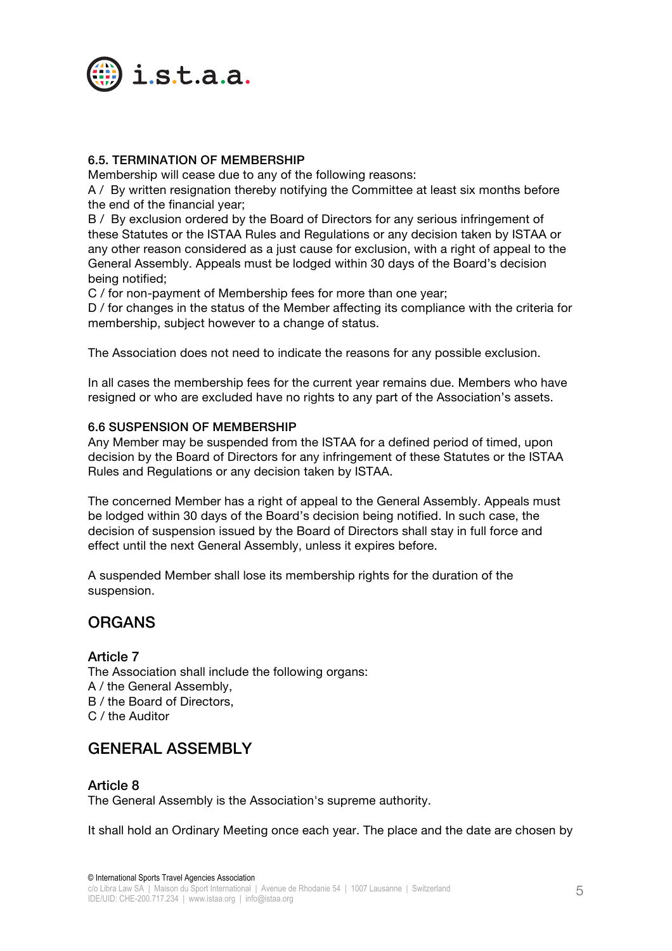

#### 6.5. TERMINATION OF MEMBERSHIP

Membership will cease due to any of the following reasons:

A / By written resignation thereby notifying the Committee at least six months before the end of the financial year;

B / By exclusion ordered by the Board of Directors for any serious infringement of these Statutes or the ISTAA Rules and Regulations or any decision taken by ISTAA or any other reason considered as a just cause for exclusion, with a right of appeal to the General Assembly. Appeals must be lodged within 30 days of the Board's decision being notified;

C / for non-payment of Membership fees for more than one year;

D / for changes in the status of the Member affecting its compliance with the criteria for membership, subject however to a change of status.

The Association does not need to indicate the reasons for any possible exclusion.

In all cases the membership fees for the current year remains due. Members who have resigned or who are excluded have no rights to any part of the Association's assets.

#### 6.6 SUSPENSION OF MEMBERSHIP

Any Member may be suspended from the ISTAA for a defined period of timed, upon decision by the Board of Directors for any infringement of these Statutes or the ISTAA Rules and Regulations or any decision taken by ISTAA.

The concerned Member has a right of appeal to the General Assembly. Appeals must be lodged within 30 days of the Board's decision being notified. In such case, the decision of suspension issued by the Board of Directors shall stay in full force and effect until the next General Assembly, unless it expires before.

A suspended Member shall lose its membership rights for the duration of the suspension.

### ORGANS

#### Article 7

The Association shall include the following organs: A / the General Assembly, B / the Board of Directors, C / the Auditor

## GENERAL ASSEMBLY

#### Article 8

The General Assembly is the Association's supreme authority.

It shall hold an Ordinary Meeting once each year. The place and the date are chosen by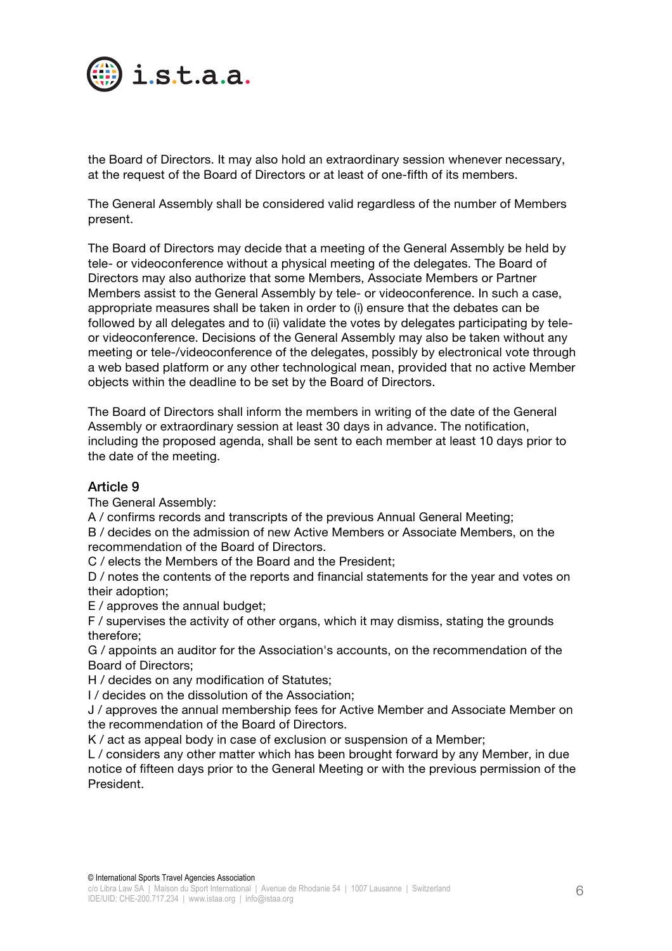

the Board of Directors. It may also hold an extraordinary session whenever necessary, at the request of the Board of Directors or at least of one-fifth of its members.

The General Assembly shall be considered valid regardless of the number of Members present.

The Board of Directors may decide that a meeting of the General Assembly be held by tele- or videoconference without a physical meeting of the delegates. The Board of Directors may also authorize that some Members, Associate Members or Partner Members assist to the General Assembly by tele- or videoconference. In such a case, appropriate measures shall be taken in order to (i) ensure that the debates can be followed by all delegates and to (ii) validate the votes by delegates participating by teleor videoconference. Decisions of the General Assembly may also be taken without any meeting or tele-/videoconference of the delegates, possibly by electronical vote through a web based platform or any other technological mean, provided that no active Member objects within the deadline to be set by the Board of Directors.

The Board of Directors shall inform the members in writing of the date of the General Assembly or extraordinary session at least 30 days in advance. The notification, including the proposed agenda, shall be sent to each member at least 10 days prior to the date of the meeting.

#### Article 9

The General Assembly:

A / confirms records and transcripts of the previous Annual General Meeting;

B / decides on the admission of new Active Members or Associate Members, on the recommendation of the Board of Directors.

C / elects the Members of the Board and the President;

D / notes the contents of the reports and financial statements for the year and votes on their adoption;

E / approves the annual budget;

F / supervises the activity of other organs, which it may dismiss, stating the grounds therefore;

G / appoints an auditor for the Association's accounts, on the recommendation of the Board of Directors;

H / decides on any modification of Statutes;

I / decides on the dissolution of the Association;

J / approves the annual membership fees for Active Member and Associate Member on the recommendation of the Board of Directors.

K / act as appeal body in case of exclusion or suspension of a Member;

L / considers any other matter which has been brought forward by any Member, in due notice of fifteen days prior to the General Meeting or with the previous permission of the President.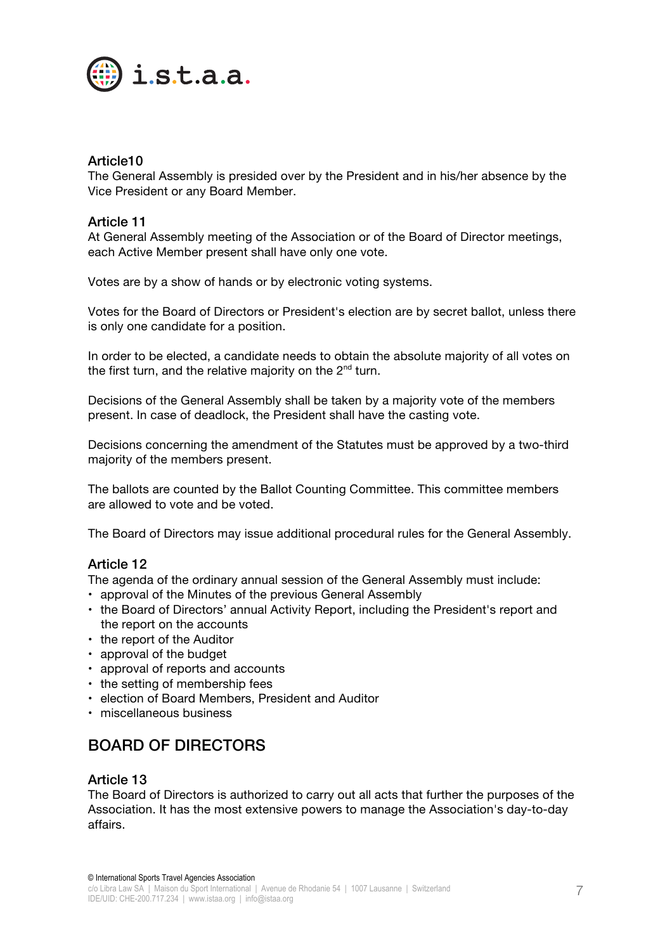

#### Article10

The General Assembly is presided over by the President and in his/her absence by the Vice President or any Board Member.

#### Article 11

At General Assembly meeting of the Association or of the Board of Director meetings, each Active Member present shall have only one vote.

Votes are by a show of hands or by electronic voting systems.

Votes for the Board of Directors or President's election are by secret ballot, unless there is only one candidate for a position.

In order to be elected, a candidate needs to obtain the absolute majority of all votes on the first turn, and the relative majority on the  $2^{nd}$  turn.

Decisions of the General Assembly shall be taken by a majority vote of the members present. In case of deadlock, the President shall have the casting vote.

Decisions concerning the amendment of the Statutes must be approved by a two-third majority of the members present.

The ballots are counted by the Ballot Counting Committee. This committee members are allowed to vote and be voted.

The Board of Directors may issue additional procedural rules for the General Assembly.

#### Article 12

The agenda of the ordinary annual session of the General Assembly must include:

- approval of the Minutes of the previous General Assembly
- the Board of Directors' annual Activity Report, including the President's report and the report on the accounts
- the report of the Auditor
- approval of the budget
- approval of reports and accounts
- the setting of membership fees
- election of Board Members, President and Auditor
- miscellaneous business

## BOARD OF DIRECTORS

#### Article 13

The Board of Directors is authorized to carry out all acts that further the purposes of the Association. It has the most extensive powers to manage the Association's day-to-day affairs.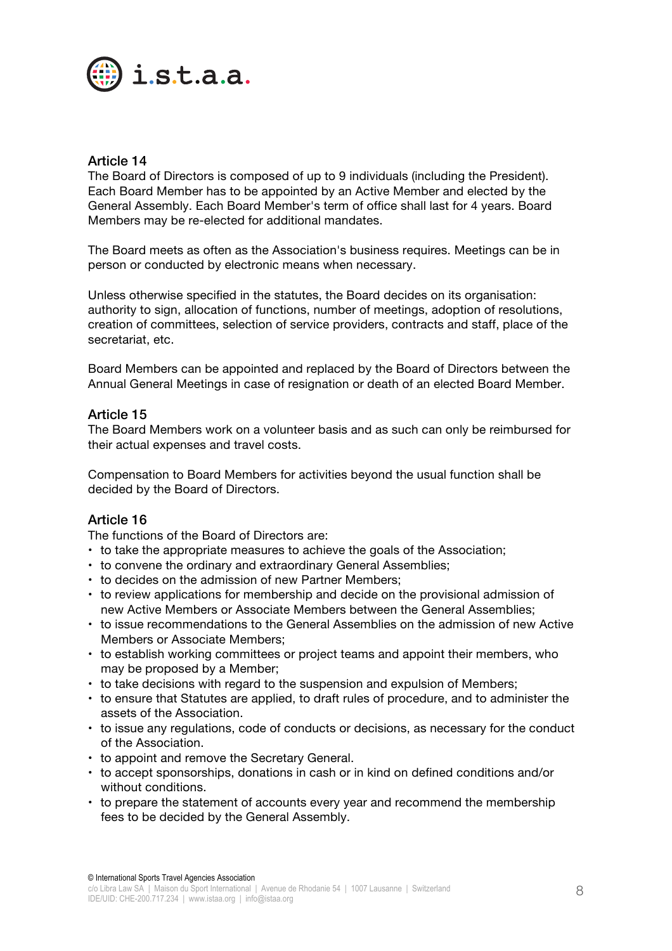

#### Article 14

The Board of Directors is composed of up to 9 individuals (including the President). Each Board Member has to be appointed by an Active Member and elected by the General Assembly. Each Board Member's term of office shall last for 4 years. Board Members may be re-elected for additional mandates.

The Board meets as often as the Association's business requires. Meetings can be in person or conducted by electronic means when necessary.

Unless otherwise specified in the statutes, the Board decides on its organisation: authority to sign, allocation of functions, number of meetings, adoption of resolutions, creation of committees, selection of service providers, contracts and staff, place of the secretariat, etc.

Board Members can be appointed and replaced by the Board of Directors between the Annual General Meetings in case of resignation or death of an elected Board Member.

#### Article 15

The Board Members work on a volunteer basis and as such can only be reimbursed for their actual expenses and travel costs.

Compensation to Board Members for activities beyond the usual function shall be decided by the Board of Directors.

#### Article 16

The functions of the Board of Directors are:

- to take the appropriate measures to achieve the goals of the Association;
- to convene the ordinary and extraordinary General Assemblies;
- to decides on the admission of new Partner Members;
- to review applications for membership and decide on the provisional admission of new Active Members or Associate Members between the General Assemblies;
- to issue recommendations to the General Assemblies on the admission of new Active Members or Associate Members;
- to establish working committees or project teams and appoint their members, who may be proposed by a Member;
- to take decisions with regard to the suspension and expulsion of Members;
- to ensure that Statutes are applied, to draft rules of procedure, and to administer the assets of the Association.
- to issue any regulations, code of conducts or decisions, as necessary for the conduct of the Association.
- to appoint and remove the Secretary General.
- to accept sponsorships, donations in cash or in kind on defined conditions and/or without conditions.
- to prepare the statement of accounts every year and recommend the membership fees to be decided by the General Assembly.

© International Sports Travel Agencies Association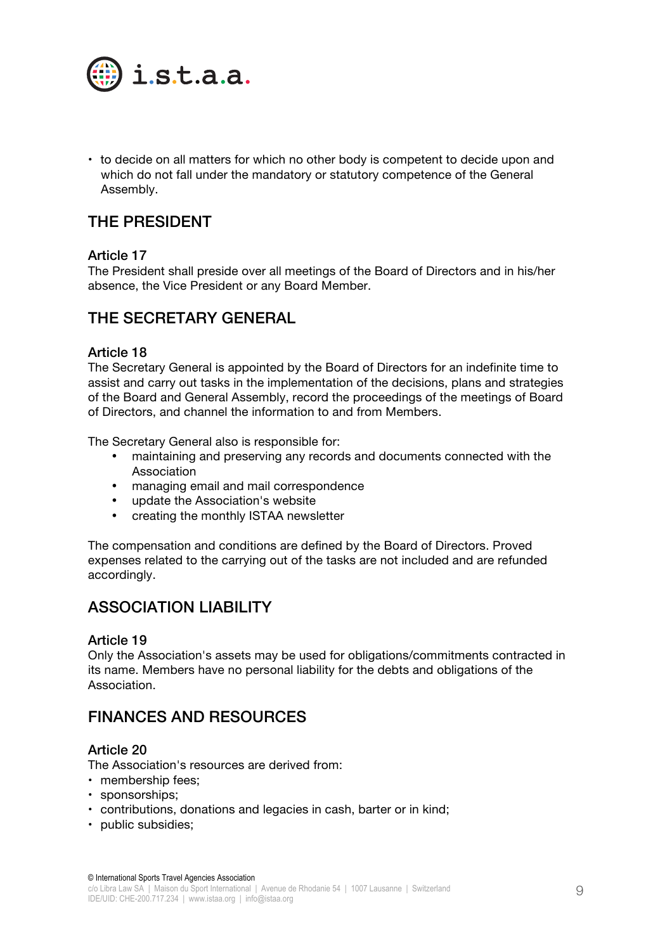

• to decide on all matters for which no other body is competent to decide upon and which do not fall under the mandatory or statutory competence of the General Assembly.

## THE PRESIDENT

#### Article 17

The President shall preside over all meetings of the Board of Directors and in his/her absence, the Vice President or any Board Member.

## THE SECRETARY GENERAL

#### Article 18

The Secretary General is appointed by the Board of Directors for an indefinite time to assist and carry out tasks in the implementation of the decisions, plans and strategies of the Board and General Assembly, record the proceedings of the meetings of Board of Directors, and channel the information to and from Members.

The Secretary General also is responsible for:

- maintaining and preserving any records and documents connected with the Association
- managing email and mail correspondence
- update the Association's website
- creating the monthly ISTAA newsletter

The compensation and conditions are defined by the Board of Directors. Proved expenses related to the carrying out of the tasks are not included and are refunded accordingly.

## ASSOCIATION LIABILITY

#### Article 19

Only the Association's assets may be used for obligations/commitments contracted in its name. Members have no personal liability for the debts and obligations of the Association.

### FINANCES AND RESOURCES

#### Article 20

The Association's resources are derived from:

- membership fees;
- sponsorships;
- contributions, donations and legacies in cash, barter or in kind;
- public subsidies;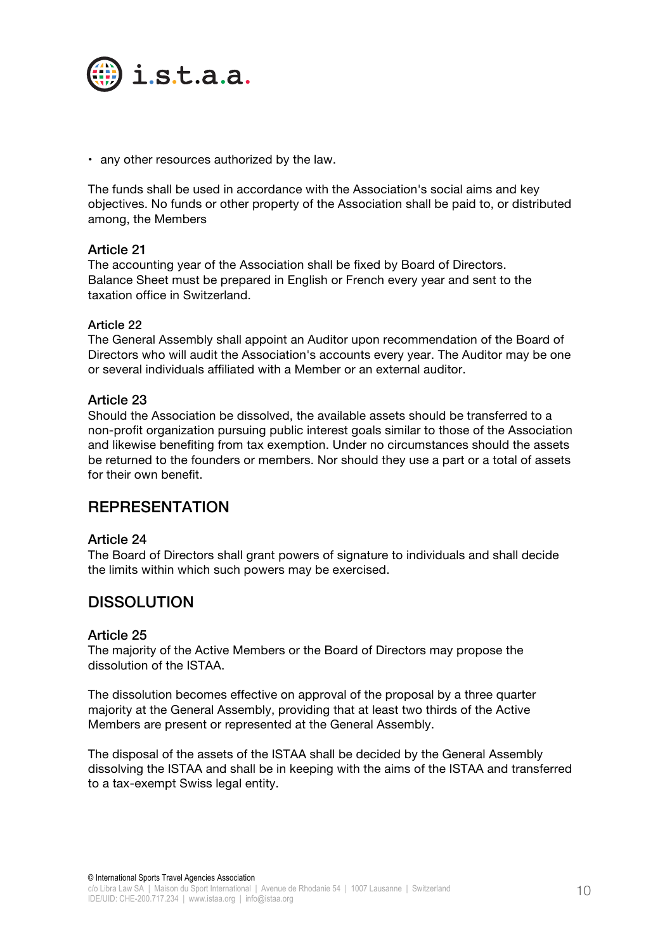

• any other resources authorized by the law.

The funds shall be used in accordance with the Association's social aims and key objectives. No funds or other property of the Association shall be paid to, or distributed among, the Members

#### Article 21

The accounting year of the Association shall be fixed by Board of Directors. Balance Sheet must be prepared in English or French every year and sent to the taxation office in Switzerland.

#### Article 22

The General Assembly shall appoint an Auditor upon recommendation of the Board of Directors who will audit the Association's accounts every year. The Auditor may be one or several individuals affiliated with a Member or an external auditor.

#### Article 23

Should the Association be dissolved, the available assets should be transferred to a non-profit organization pursuing public interest goals similar to those of the Association and likewise benefiting from tax exemption. Under no circumstances should the assets be returned to the founders or members. Nor should they use a part or a total of assets for their own benefit.

### REPRESENTATION

#### Article 24

The Board of Directors shall grant powers of signature to individuals and shall decide the limits within which such powers may be exercised.

### DISSOLUTION

#### Article 25

The majority of the Active Members or the Board of Directors may propose the dissolution of the ISTAA.

The dissolution becomes effective on approval of the proposal by a three quarter majority at the General Assembly, providing that at least two thirds of the Active Members are present or represented at the General Assembly.

The disposal of the assets of the ISTAA shall be decided by the General Assembly dissolving the ISTAA and shall be in keeping with the aims of the ISTAA and transferred to a tax-exempt Swiss legal entity.